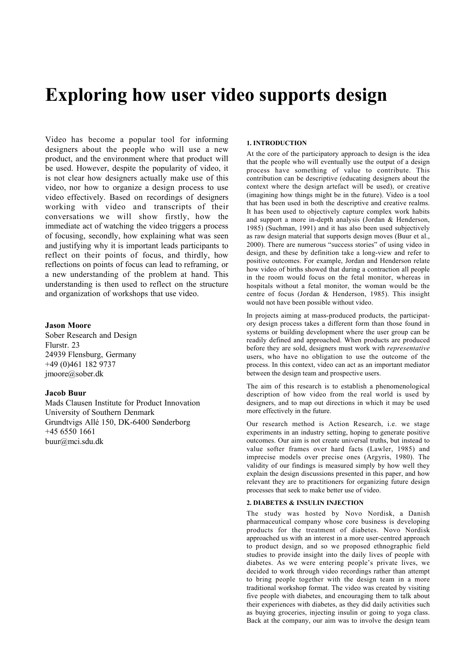# Exploring how user video supports design

Video has become a popular tool for informing designers about the people who will use a new product, and the environment where that product will be used. However, despite the popularity of video, it is not clear how designers actually make use of this video, nor how to organize a design process to use video effectively. Based on recordings of designers working with video and transcripts of their conversations we will show firstly, how the immediate act of watching the video triggers a process of focusing, secondly, how explaining what was seen and justifying why it is important leads participants to reflect on their points of focus, and thirdly, how reflections on points of focus can lead to reframing, or a new understanding of the problem at hand. This understanding is then used to reflect on the structure and organization of workshops that use video.

# Jason Moore

Sober Research and Design Flurstr. 23 24939 Flensburg, Germany +49 (0)461 182 9737 imoore@sober.dk

# Jacob Buur

Mads Clausen Institute for Product Innovation University of Southern Denmark Grundtvigs Allé 150, DK-6400 Sønderborg +45 6550 1661 buur@mci.sdu.dk

# 1. INTRODUCTION

At the core of the participatory approach to design is the idea that the people who will eventually use the output of a design process have something of value to contribute. This contribution can be descriptive (educating designers about the context where the design artefact will be used), or creative (imagining how things might be in the future). Video is a tool that has been used in both the descriptive and creative realms. It has been used to objectively capture complex work habits and support a more in-depth analysis (Jordan & Henderson, 1985) (Suchman, 1991) and it has also been used subjectively as raw design material that supports design moves (Buur et al., 2000). There are numerous "success stories" of using video in design, and these by definition take a long-view and refer to positive outcomes. For example, Jordan and Henderson relate how video of births showed that during a contraction all people in the room would focus on the fetal monitor, whereas in hospitals without a fetal monitor, the woman would be the centre of focus (Jordan & Henderson, 1985). This insight would not have been possible without video.

In projects aiming at mass-produced products, the participatory design process takes a different form than those found in systems or building development where the user group can be readily defined and approached. When products are produced before they are sold, designers must work with *representative* users, who have no obligation to use the outcome of the process. In this context, video can act as an important mediator between the design team and prospective users.

The aim of this research is to establish a phenomenological description of how video from the real world is used by designers, and to map out directions in which it may be used more effectively in the future.

Our research method is Action Research, i.e. we stage experiments in an industry setting, hoping to generate positive outcomes. Our aim is not create universal truths, but instead to value softer frames over hard facts (Lawler, 1985) and imprecise models over precise ones (Argyris, 1980). The validity of our findings is measured simply by how well they explain the design discussions presented in this paper, and how relevant they are to practitioners for organizing future design processes that seek to make better use of video.

# 2. DIABETES & INSULIN INJECTION

The study was hosted by Novo Nordisk, a Danish pharmaceutical company whose core business is developing products for the treatment of diabetes. Novo Nordisk approached us with an interest in a more user-centred approach to product design, and so we proposed ethnographic field studies to provide insight into the daily lives of people with diabetes. As we were entering people's private lives, we decided to work through video recordings rather than attempt to bring people together with the design team in a more traditional workshop format. The video was created by visiting five people with diabetes, and encouraging them to talk about their experiences with diabetes, as they did daily activities such as buying groceries, injecting insulin or going to yoga class. Back at the company, our aim was to involve the design team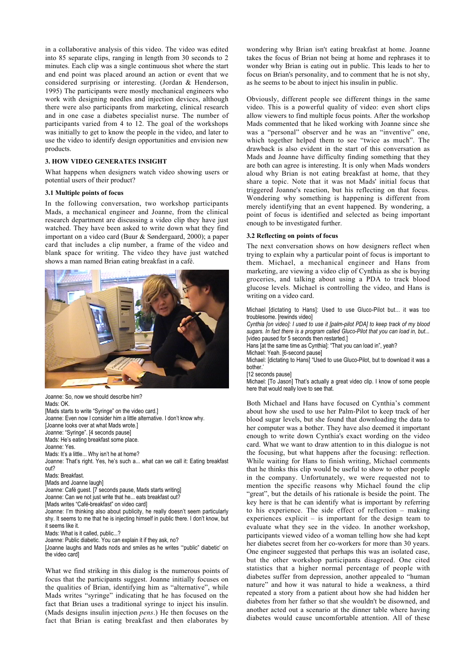in a collaborative analysis of this video. The video was edited into 85 separate clips, ranging in length from 30 seconds to 2 minutes. Each clip was a single continuous shot where the start and end point was placed around an action or event that we considered surprising or interesting. (Jordan & Henderson, 1995) The participants were mostly mechanical engineers who work with designing needles and injection devices, although there were also participants from marketing, clinical research and in one case a diabetes specialist nurse. The number of participants varied from 4 to 12. The goal of the workshops was initially to get to know the people in the video, and later to use the video to identify design opportunities and envision new products.

# 3. HOW VIDEO GENERATES INSIGHT

What happens when designers watch video showing users or potential users of their product?

## 3.1 Multiple points of focus

In the following conversation, two workshop participants Mads, a mechanical engineer and Joanne, from the clinical research department are discussing a video clip they have just watched. They have been asked to write down what they find important on a video card (Buur & Søndergaard, 2000); a paper card that includes a clip number, a frame of the video and blank space for writing. The video they have just watched shows a man named Brian eating breakfast in a café.



Joanne: So, now we should describe him? Mads: OK. [Mads starts to write "Syringe" on the video card.] Joanne: Even now I consider him a little alternative. I don't know why. [Joanne looks over at what Mads wrote.] Joanne: "Syringe". [4 seconds pause] Mads: He's eating breakfast some place. Joanne: Yes. Mads: It's a little... Why isn't he at home? Joanne: That's right. Yes, he's such a... what can we call it: Eating breakfast out? Mads: Breakfast. [Mads and Joanne laugh] Joanne: Café guest. [7 seconds pause, Mads starts writing] Joanne: Can we not just write that he... eats breakfast out? [Mads writes "Café-breakfast" on video card] Joanne: I'm thinking also about publicity, he really doesn't seem particularly shy. It seems to me that he is injecting himself in public there. I don't know, but it seems like it. Mads: What is it called, public...? Joanne: Public diabetic. You can explain it if they ask, no? [Joanne laughs and Mads nods and smiles as he writes '"public" diabetic' on

What we find striking in this dialog is the numerous points of focus that the participants suggest. Joanne initially focuses on the qualities of Brian, identifying him as "alternative", while Mads writes "syringe" indicating that he has focused on the fact that Brian uses a traditional syringe to inject his insulin. (Mads designs insulin injection *pens*.) He then focuses on the fact that Brian is eating breakfast and then elaborates by

the video card]

wondering why Brian isn't eating breakfast at home. Joanne takes the focus of Brian not being at home and rephrases it to wonder why Brian is eating out in public. This leads to her to focus on Brian's personality, and to comment that he is not shy, as he seems to be about to inject his insulin in public.

Obviously, different people see different things in the same video. This is a powerful quality of video: even short clips allow viewers to find multiple focus points. After the workshop Mads commented that he liked working with Joanne since she was a "personal" observer and he was an "inventive" one, which together helped them to see "twice as much". The drawback is also evident in the start of this conversation as Mads and Joanne have difficulty finding something that they are both can agree is interesting. It is only when Mads wonders aloud why Brian is not eating breakfast at home, that they share a topic. Note that it was not Mads' initial focus that triggered Joanne's reaction, but his reflecting on that focus. Wondering why something is happening is different from merely identifying that an event happened. By wondering, a point of focus is identified and selected as being important enough to be investigated further.

## 3.2 Reflecting on points of focus

The next conversation shows on how designers reflect when trying to explain why a particular point of focus is important to them. Michael, a mechanical engineer and Hans from marketing, are viewing a video clip of Cynthia as she is buying groceries, and talking about using a PDA to track blood glucose levels. Michael is controlling the video, and Hans is writing on a video card.

Michael [dictating to Hans]: Used to use Gluco-Pilot but... it was too troublesome. [rewinds video]

*Cynthia [on video]: I used to use it [palm-pilot PDA] to keep track of my blood sugars. In fact there is a program called Gluco-Pilot that you can load in, but...* [video paused for 5 seconds then restarted.]

Hans [at the same time as Cynthia]: "That you can load in", yeah?

Michael: Yeah. [6-second pause]

Michael: [dictating to Hans] "Used to use Gluco-Pilot, but to download it was a bother.'

[12 seconds pause]

Michael: [To Jason] That's actually a great video clip. I know of some people here that would really love to see that.

Both Michael and Hans have focused on Cynthia's comment about how she used to use her Palm-Pilot to keep track of her blood sugar levels, but she found that downloading the data to her computer was a bother. They have also deemed it important enough to write down Cynthia's exact wording on the video card. What we want to draw attention to in this dialogue is not the focusing, but what happens after the focusing: reflection. While waiting for Hans to finish writing, Michael comments that he thinks this clip would be useful to show to other people in the company. Unfortunately, we were requested not to mention the specific reasons why Michael found the clip "great", but the details of his rationale is beside the point. The key here is that he can identify what is important by referring to his experience. The side effect of reflection – making experiences explicit – is important for the design team to evaluate what they see in the video. In another workshop, participants viewed video of a woman telling how she had kept her diabetes secret from her co-workers for more than 30 years. One engineer suggested that perhaps this was an isolated case, but the other workshop participants disagreed. One cited statistics that a higher normal percentage of people with diabetes suffer from depression, another appealed to "human nature" and how it was natural to hide a weakness, a third repeated a story from a patient about how she had hidden her diabetes from her father so that she wouldn't be disowned, and another acted out a scenario at the dinner table where having diabetes would cause uncomfortable attention. All of these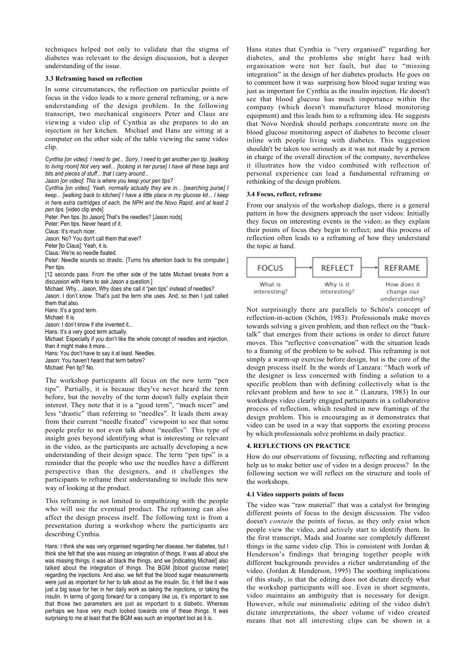techniques helped not only to validate that the stigma of diabetes was relevant to the design discussion, but a deeper understanding of the issue.

## 3.3 Reframing based on reflection

In some circumstances, the reflection on particular points of focus in the video leads to a more general reframing, or a new understanding of the design problem. In the following transcript, two mechanical engineers Peter and Claus are viewing a video clip of Cynthia as she prepares to do an injection in her kitchen. Michael and Hans are sitting at a computer on the other side of the table viewing the same video clip.

*Cynthia [on video]: I need to get... Sorry, I need to get another pen tip. [walking to living room] Not very well... [looking in her purse] I have all these bags and bits and pieces of stuff... that I carry around...*

*Jason [on video]: This is where you keep your pen tips?*

*Cynthia [on video]: Yeah, normally actually they are in... [searching purse] I keep... [walking back to kitchen] I have a little place in my glucose kit... I keep in here extra cartridges of each, the NPH and the Novo Rapid, and at least 2 pen tips.* [video clip ends]

Peter: Pen tips. [to Jason] That's the needles? [Jason nods]

Peter: Pen tips. Never heard of it.

Claus: It's much nicer.

Jason: No? You don't call them that ever?

Peter [to Claus]: Yeah, it is.

Claus: We're so needle fixated.

Peter: Needle sounds so drastic. [Turns his attention back to the computer.] Pen tips.

[12 seconds pass. From the other side of the table Michael breaks from a discussion with Hans to ask Jason a question.]

Michael: Why... Jason, Why does she call it "pen tips" instead of needles?

Jason: I don't know. That's just the term she uses. And, so then I just called them that also.

Hans: It's a good term. Michael: It is.

Jason: I don't know if she invented it...

Hans: It's a very good term actually.

Michael: Especially if you don't like the whole concept of needles and injection, then it might make it more...

Hans: You don't have to say it at least. Needles.

Jason: You haven't heard that term before?

Michael: Pen tip? No.

The workshop participants all focus on the new term "pen tips". Partially, it is because they've never heard the term before, but the novelty of the term doesn't fully explain their interest. They note that it is a "good term", "much nicer" and less "drastic" than referring to "needles". It leads them away from their current "needle fixated" viewpoint to see that some people prefer to not even talk about "needles". This type of insight goes beyond identifying what is interesting or relevant in the video, as the participants are actually developing a new understanding of their design space. The term "pen tips" is a reminder that the people who use the needles have a different perspective than the designers, and it challenges the participants to reframe their understanding to include this new way of looking at the product.

This reframing is not limited to empathizing with the people who will use the eventual product. The reframing can also affect the design process itself. The following text is from a presentation during a workshop where the participants are describing Cynthia.

Hans: I think she was very organised regarding her disease, her diabetes, but I think she felt that she was missing an integration of things. It was all about she was missing things, it was all black the things, and we [indicating Michael] also talked about the integration of things. The BGM [blood glucose meter] regarding the injections. And also, we felt that the blood sugar measurements were just as important for her to talk about as the insulin. So, it felt like it was just a big issue for her in her daily work as taking the injections, or taking the insulin. In terms of going forward for a company like us, it's important to see that those two parameters are just as important to a diabetic. Whereas perhaps we have very much looked towards one of these things. It was surprising to me at least that the BGM was such an important tool as it is.

Hans states that Cynthia is "very organised" regarding her diabetes, and the problems she might have had with organisation were not her fault, but due to "missing integration" in the design of her diabetes products. He goes on to comment how it was surprising how blood sugar testing was just as important for Cynthia as the insulin injection. He doesn't see that blood glucose has much importance within the company (which doesn't manufacturer blood monitoring equipment) and this leads him to a reframing idea. He suggests that Novo Nordisk should perhaps concentrate more on the blood glucose monitoring aspect of diabetes to become closer inline with people living with diabetes. This suggestion shouldn't be taken too seriously as it was not made by a person in charge of the overall direction of the company, nevertheless it illustrates how the video combined with reflection of personal experience can lead a fundamental reframing or rethinking of the design problem.

#### 3.4 Focus, reflect, reframe

From our analysis of the workshop dialogs, there is a general pattern in how the designers approach the user videos: Initially they focus on interesting events in the video; as they explain their points of focus they begin to reflect; and this process of reflection often leads to a reframing of how they understand the topic at hand.



Not surprisingly there are parallels to Schön's concept of reflection-in-action (Schön, 1983): Professionals make moves towards solving a given problem, and then reflect on the "backtalk" that emerges from their actions in order to direct future moves. This "reflective conversation" with the situation leads to a framing of the problem to be solved. This reframing is not simply a warm-up exercise before design, but is the core of the design process itself. In the words of Lanzara: "Much work of the designer is less concerned with finding a solution to a specific problem than with defining collectively what is the relevant problem and how to see it." (Lanzara, 1983) In our workshops video clearly engaged participants in a collaborative process of reflection, which resulted in new framings of the design problem. This is encouraging as it demonstrates that video can be used in a way that supports the existing process by which professionals solve problems in daily practice.

# 4. REFLECTIONS ON PRACTICE

How do our observations of focusing, reflecting and reframing help us to make better use of video in a design process? In the following section we will reflect on the structure and tools of the workshops.

## 4.1 Video supports points of focus

The video was "raw material" that was a catalyst for bringing different points of focus to the design discussion. The video doesn't *contain* the points of focus, as they only exist when people view the video, and actively start to identify them. In the first transcript, Mads and Joanne see completely different things in the same video clip. This is consistent with Jordan & Henderson's findings that bringing together people with different backgrounds provides a richer understanding of the video. (Jordan & Henderson, 1995) The soothing implications of this study, is that the editing does not dictate directly what the workshop participants will see. Even in short segments, video maintains an ambiguity that is necessary for design. However, while our minimalistic editing of the video didn't dictate interpretations, the sheer volume of video created means that not all interesting clips can be shown in a